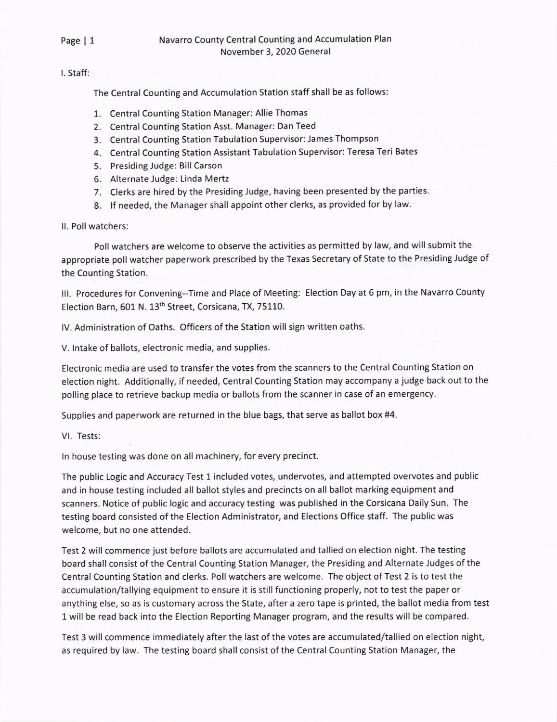### Page | 1

# Navarro County central counting and Accumulation Plan November 3, 2020 General

l. Staff:

The Central Counting and Accumulation Station staff shall be as follows:

- 1. Central Counting Station Manager: Allie Thomas
- 2. Central Counting Station Asst. Manager: Dan Teed
- 3. Central Counting Station Tabulation Supervisor: James Thompson
- 4. Central Counting Station Assistant Tabulation Supervisor: Teresa Teri Bates
- 5. Presiding Judge: Bill carson
- 6. Alternate Judge: Linda Mertz
- 7. Clerks are hired by the Presiding Judge, having been presented by the parties.
- 8. lf needed, the Manager shall appoint other clerks, as provided for by law.

### ll. Poll watchers:

Poll watchers are welcome to observe the activities as permitted by law, and will submit the appropriate poll watcher paperwork prescribed by the Texas Secretary of State to the Presiding Judge of the Counting Station.

lll. Procedures for Convening-Time and Place of Meeting: €lection Day at 6 pm, in the Navarro County Election Barn, 601 N. 13<sup>th</sup> Street, Corsicana, TX, 75110.

lV. Administration of Oaths. Officers of the Station will sign written oaths.

V. lntake of ballots, electronic media, and supplies.

Electronic media are used to transfer the votes from the scanners to the Central Counting Station on election night. Additionally, if needed, Central Counting Station may accompany a judge back out to the polling place to retrieve backup media or ballots from the scanner in case of an emergency.

Supplies and paperwork are returned in the blue bags, that serve as ballot box #4.

Vl. Tests:

ln house testing was done on all machinery, for every precinct.

The public Logic and Accuracy Test 1 included votes, undervotes, and attempted overvotes and public and in house testing included all ballot styles and precincts on all ballot marking equipment and scanners. Notice of public logic and accuracy testing was published in the Corsicana Daily Sun. The testing board consisted of the Election Administrator, and Elections Office staff. The public was welcome, but no one attended.

Test 2 will commence just before ballots are accumulated and tallied on election night. The testing board shall consist of the Central Counting Station Manager, the Presiding and Alternate Judges of the Central Counting Station and clerks. Poll watchers are welcome. The object of Test 2 is to test the accumulation/tallying equipment to ensure it is still functioning properly, not to test the paper or anything else, so as is customary across the State, after a zero tape is printed, the ballot media from test l will be read back into the Election Reporting Manager program, and the results will be compared.

Test 3 will commence immediately after the last of the votes are accumulated/tallied on election night, as required by law. The testing board shall consist of the Central Counting Station Manager, the